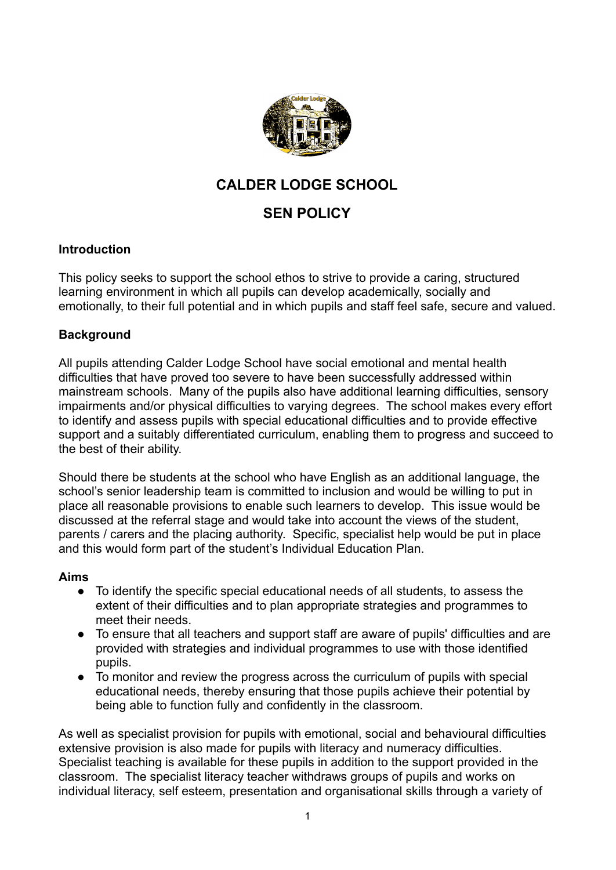

# **CALDER LODGE SCHOOL**

# **SEN POLICY**

## **Introduction**

This policy seeks to support the school ethos to strive to provide a caring, structured learning environment in which all pupils can develop academically, socially and emotionally, to their full potential and in which pupils and staff feel safe, secure and valued.

## **Background**

All pupils attending Calder Lodge School have social emotional and mental health difficulties that have proved too severe to have been successfully addressed within mainstream schools. Many of the pupils also have additional learning difficulties, sensory impairments and/or physical difficulties to varying degrees. The school makes every effort to identify and assess pupils with special educational difficulties and to provide effective support and a suitably differentiated curriculum, enabling them to progress and succeed to the best of their ability.

Should there be students at the school who have English as an additional language, the school's senior leadership team is committed to inclusion and would be willing to put in place all reasonable provisions to enable such learners to develop. This issue would be discussed at the referral stage and would take into account the views of the student, parents / carers and the placing authority. Specific, specialist help would be put in place and this would form part of the student's Individual Education Plan.

#### **Aims**

- To identify the specific special educational needs of all students, to assess the extent of their difficulties and to plan appropriate strategies and programmes to meet their needs.
- To ensure that all teachers and support staff are aware of pupils' difficulties and are provided with strategies and individual programmes to use with those identified pupils.
- To monitor and review the progress across the curriculum of pupils with special educational needs, thereby ensuring that those pupils achieve their potential by being able to function fully and confidently in the classroom.

As well as specialist provision for pupils with emotional, social and behavioural difficulties extensive provision is also made for pupils with literacy and numeracy difficulties. Specialist teaching is available for these pupils in addition to the support provided in the classroom. The specialist literacy teacher withdraws groups of pupils and works on individual literacy, self esteem, presentation and organisational skills through a variety of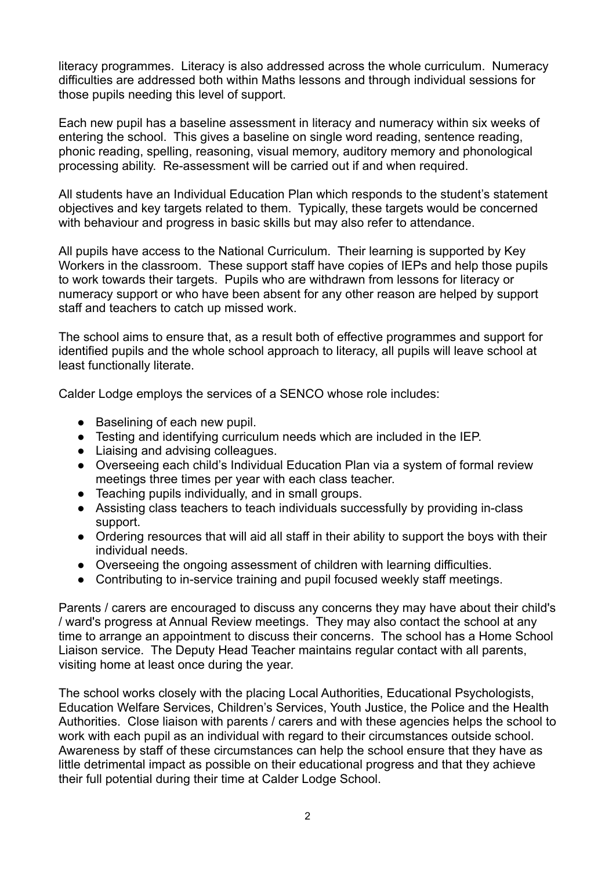literacy programmes. Literacy is also addressed across the whole curriculum. Numeracy difficulties are addressed both within Maths lessons and through individual sessions for those pupils needing this level of support.

Each new pupil has a baseline assessment in literacy and numeracy within six weeks of entering the school. This gives a baseline on single word reading, sentence reading, phonic reading, spelling, reasoning, visual memory, auditory memory and phonological processing ability. Re-assessment will be carried out if and when required.

All students have an Individual Education Plan which responds to the student's statement objectives and key targets related to them. Typically, these targets would be concerned with behaviour and progress in basic skills but may also refer to attendance.

All pupils have access to the National Curriculum. Their learning is supported by Key Workers in the classroom. These support staff have copies of IEPs and help those pupils to work towards their targets. Pupils who are withdrawn from lessons for literacy or numeracy support or who have been absent for any other reason are helped by support staff and teachers to catch up missed work.

The school aims to ensure that, as a result both of effective programmes and support for identified pupils and the whole school approach to literacy, all pupils will leave school at least functionally literate.

Calder Lodge employs the services of a SENCO whose role includes:

- Baselining of each new pupil.
- Testing and identifying curriculum needs which are included in the IEP.
- Liaising and advising colleagues.
- Overseeing each child's Individual Education Plan via a system of formal review meetings three times per year with each class teacher.
- Teaching pupils individually, and in small groups.
- Assisting class teachers to teach individuals successfully by providing in-class support.
- Ordering resources that will aid all staff in their ability to support the boys with their individual needs.
- Overseeing the ongoing assessment of children with learning difficulties.
- Contributing to in-service training and pupil focused weekly staff meetings.

Parents / carers are encouraged to discuss any concerns they may have about their child's / ward's progress at Annual Review meetings. They may also contact the school at any time to arrange an appointment to discuss their concerns. The school has a Home School Liaison service. The Deputy Head Teacher maintains regular contact with all parents, visiting home at least once during the year.

The school works closely with the placing Local Authorities, Educational Psychologists, Education Welfare Services, Children's Services, Youth Justice, the Police and the Health Authorities. Close liaison with parents / carers and with these agencies helps the school to work with each pupil as an individual with regard to their circumstances outside school. Awareness by staff of these circumstances can help the school ensure that they have as little detrimental impact as possible on their educational progress and that they achieve their full potential during their time at Calder Lodge School.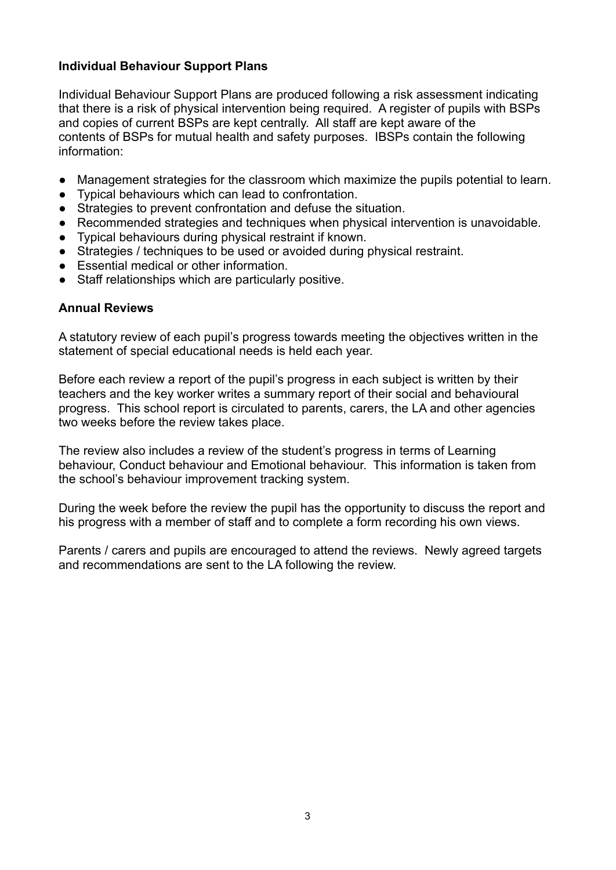## **Individual Behaviour Support Plans**

Individual Behaviour Support Plans are produced following a risk assessment indicating that there is a risk of physical intervention being required. A register of pupils with BSPs and copies of current BSPs are kept centrally. All staff are kept aware of the contents of BSPs for mutual health and safety purposes. IBSPs contain the following information:

- Management strategies for the classroom which maximize the pupils potential to learn.
- Typical behaviours which can lead to confrontation.
- Strategies to prevent confrontation and defuse the situation.
- Recommended strategies and techniques when physical intervention is unavoidable.
- Typical behaviours during physical restraint if known.
- Strategies / techniques to be used or avoided during physical restraint.
- Essential medical or other information.
- Staff relationships which are particularly positive.

#### **Annual Reviews**

A statutory review of each pupil's progress towards meeting the objectives written in the statement of special educational needs is held each year.

Before each review a report of the pupil's progress in each subject is written by their teachers and the key worker writes a summary report of their social and behavioural progress. This school report is circulated to parents, carers, the LA and other agencies two weeks before the review takes place.

The review also includes a review of the student's progress in terms of Learning behaviour, Conduct behaviour and Emotional behaviour. This information is taken from the school's behaviour improvement tracking system.

During the week before the review the pupil has the opportunity to discuss the report and his progress with a member of staff and to complete a form recording his own views.

Parents / carers and pupils are encouraged to attend the reviews. Newly agreed targets and recommendations are sent to the LA following the review.